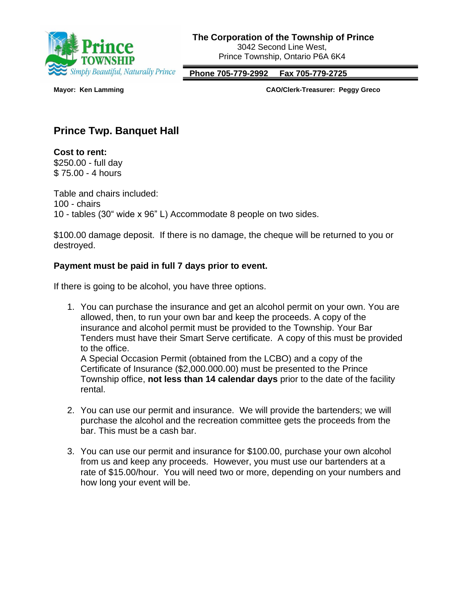

 **Phone 705-779-2992 Fax 705-779-2725**

**Mayor: Ken Lamming CAO/Clerk-Treasurer: Peggy Greco**

## **Prince Twp. Banquet Hall**

**Cost to rent:** \$250.00 - full day \$ 75.00 - 4 hours

Table and chairs included: 100 - chairs 10 - tables (30" wide x 96" L) Accommodate 8 people on two sides.

\$100.00 damage deposit. If there is no damage, the cheque will be returned to you or destroyed.

## **Payment must be paid in full 7 days prior to event.**

If there is going to be alcohol, you have three options.

1. You can purchase the insurance and get an alcohol permit on your own. You are allowed, then, to run your own bar and keep the proceeds. A copy of the insurance and alcohol permit must be provided to the Township. Your Bar Tenders must have their Smart Serve certificate. A copy of this must be provided to the office.

A Special Occasion Permit (obtained from the LCBO) and a copy of the Certificate of Insurance (\$2,000.000.00) must be presented to the Prince Township office, **not less than 14 calendar days** prior to the date of the facility rental.

- 2. You can use our permit and insurance. We will provide the bartenders; we will purchase the alcohol and the recreation committee gets the proceeds from the bar. This must be a cash bar.
- 3. You can use our permit and insurance for \$100.00, purchase your own alcohol from us and keep any proceeds. However, you must use our bartenders at a rate of \$15.00/hour. You will need two or more, depending on your numbers and how long your event will be.